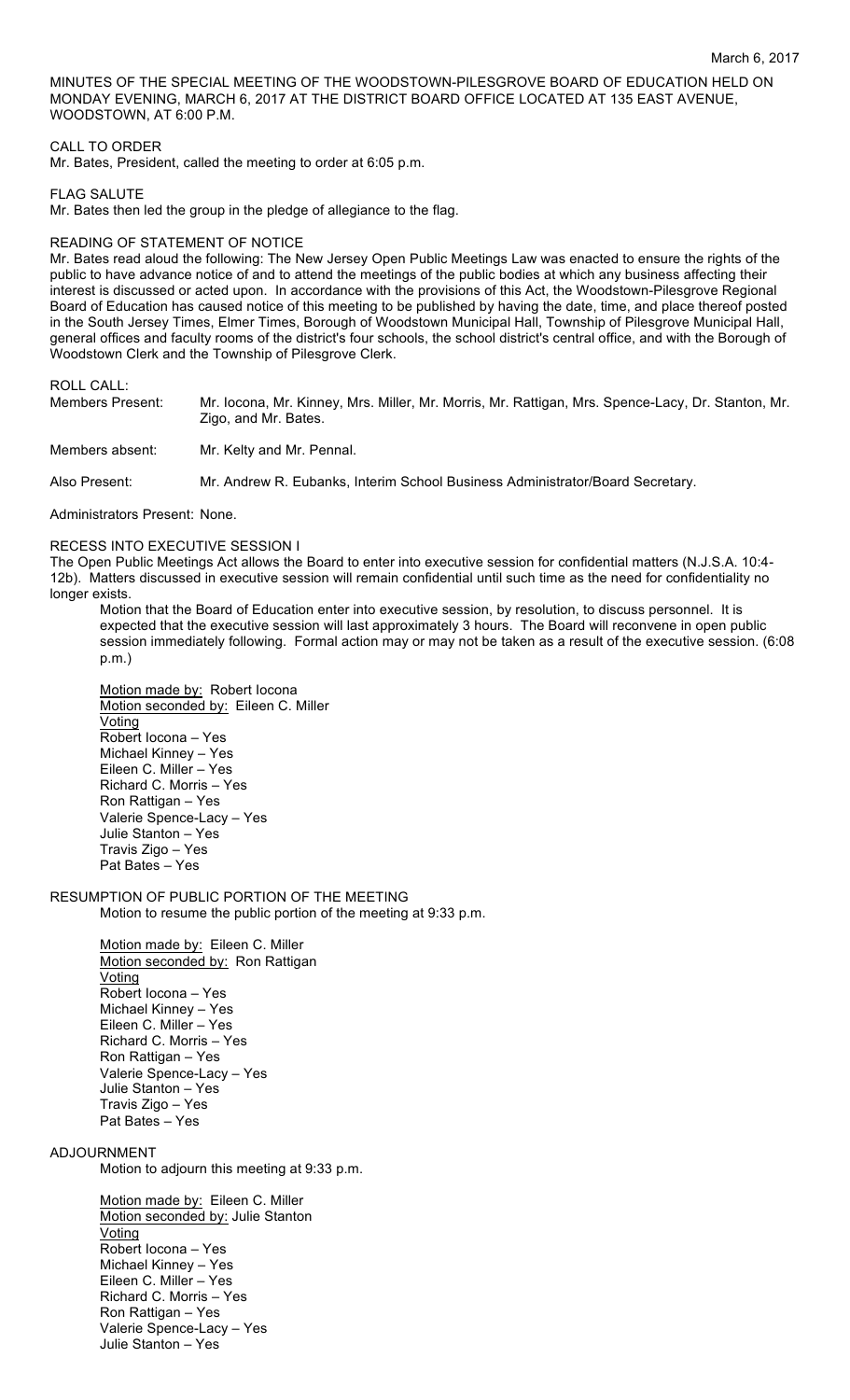MINUTES OF THE SPECIAL MEETING OF THE WOODSTOWN-PILESGROVE BOARD OF EDUCATION HELD ON MONDAY EVENING, MARCH 6, 2017 AT THE DISTRICT BOARD OFFICE LOCATED AT 135 EAST AVENUE, WOODSTOWN, AT 6:00 P.M.

# CALL TO ORDER

Mr. Bates, President, called the meeting to order at 6:05 p.m.

FLAG SALUTE

Mr. Bates then led the group in the pledge of allegiance to the flag.

#### READING OF STATEMENT OF NOTICE

Mr. Bates read aloud the following: The New Jersey Open Public Meetings Law was enacted to ensure the rights of the public to have advance notice of and to attend the meetings of the public bodies at which any business affecting their interest is discussed or acted upon. In accordance with the provisions of this Act, the Woodstown-Pilesgrove Regional Board of Education has caused notice of this meeting to be published by having the date, time, and place thereof posted in the South Jersey Times, Elmer Times, Borough of Woodstown Municipal Hall, Township of Pilesgrove Municipal Hall, general offices and faculty rooms of the district's four schools, the school district's central office, and with the Borough of Woodstown Clerk and the Township of Pilesgrove Clerk.

ROLL CALL:

Members Present: Mr. Iocona, Mr. Kinney, Mrs. Miller, Mr. Morris, Mr. Rattigan, Mrs. Spence-Lacy, Dr. Stanton, Mr. Zigo, and Mr. Bates.

Members absent: Mr. Kelty and Mr. Pennal.

Also Present: Mr. Andrew R. Eubanks, Interim School Business Administrator/Board Secretary.

Administrators Present: None.

# RECESS INTO EXECUTIVE SESSION I

The Open Public Meetings Act allows the Board to enter into executive session for confidential matters (N.J.S.A. 10:4- 12b). Matters discussed in executive session will remain confidential until such time as the need for confidentiality no longer exists.

Motion that the Board of Education enter into executive session, by resolution, to discuss personnel. It is expected that the executive session will last approximately 3 hours. The Board will reconvene in open public session immediately following. Formal action may or may not be taken as a result of the executive session. (6:08 p.m.)

Motion made by: Robert Iocona Motion seconded by: Eileen C. Miller Voting Robert Iocona – Yes Michael Kinney – Yes Eileen C. Miller – Yes Richard C. Morris – Yes Ron Rattigan – Yes Valerie Spence-Lacy – Yes Julie Stanton – Yes Travis Zigo – Yes Pat Bates – Yes

## RESUMPTION OF PUBLIC PORTION OF THE MEETING Motion to resume the public portion of the meeting at 9:33 p.m.

Motion made by: Eileen C. Miller Motion seconded by: Ron Rattigan Voting Robert Iocona – Yes Michael Kinney – Yes Eileen C. Miller – Yes Richard C. Morris – Yes Ron Rattigan – Yes Valerie Spence-Lacy – Yes Julie Stanton – Yes Travis Zigo – Yes Pat Bates – Yes

# ADJOURNMENT

Motion to adjourn this meeting at 9:33 p.m.

Motion made by: Eileen C. Miller Motion seconded by: Julie Stanton Voting Robert Iocona – Yes Michael Kinney – Yes Eileen C. Miller – Yes Richard C. Morris – Yes Ron Rattigan – Yes Valerie Spence-Lacy – Yes Julie Stanton – Yes